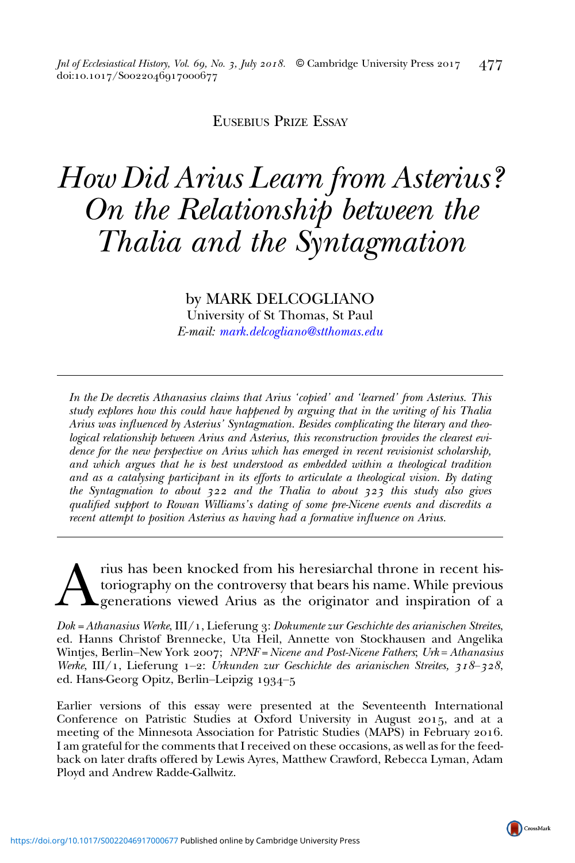# EUSEBIUS PRIZE ESSAY

# How Did Arius Learn from Asterius? On the Relationship between the Thalia and the Syntagmation

by MARK DELCOGLIANO University of St Thomas, St Paul E-mail: [mark.delcogliano@stthomas.edu](mailto:mark.delcogliano@stthomas.edu)

In the De decretis Athanasius claims that Arius 'copied' and 'learned' from Asterius. This study explores how this could have happened by arguing that in the writing of his Thalia Arius was influenced by Asterius' Syntagmation. Besides complicating the literary and theological relationship between Arius and Asterius, this reconstruction provides the clearest evidence for the new perspective on Arius which has emerged in recent revisionist scholarship, and which argues that he is best understood as embedded within a theological tradition and as a catalysing participant in its efforts to articulate a theological vision. By dating the Syntagmation to about  $322$  and the Thalia to about  $323$  this study also gives qualified support to Rowan Williams's dating of some pre-Nicene events and discredits a recent attempt to position Asterius as having had a formative influence on Arius.

Thus has been knocked from his heresiarchal throne in recent his-<br>toriography on the controversy that bears his name. While previous<br>generations viewed Arius as the originator and inspiration of a toriography on the controversy that bears his name. While previous generations viewed Arius as the originator and inspiration of a

 $Dok = Athanasius Werke, III/1, Lieferung 3: Dokumente zur Geschichte des arianischen Streites,$ ed. Hanns Christof Brennecke, Uta Heil, Annette von Stockhausen and Angelika Wintjes, Berlin–New York 2007; NPNF = Nicene and Post-Nicene Fathers; Urk = Athanasius Werke, III/1, Lieferung 1-2: Urkunden zur Geschichte des arianischen Streites,  $318-328$ , ed. Hans-Georg Opitz, Berlin–Leipzig 1934-5

Earlier versions of this essay were presented at the Seventeenth International Conference on Patristic Studies at Oxford University in August 2015, and at a meeting of the Minnesota Association for Patristic Studies (MAPS) in February 2016. I am grateful for the comments that I received on these occasions, as well as for the feedback on later drafts offered by Lewis Ayres, Matthew Crawford, Rebecca Lyman, Adam Ployd and Andrew Radde-Gallwitz.

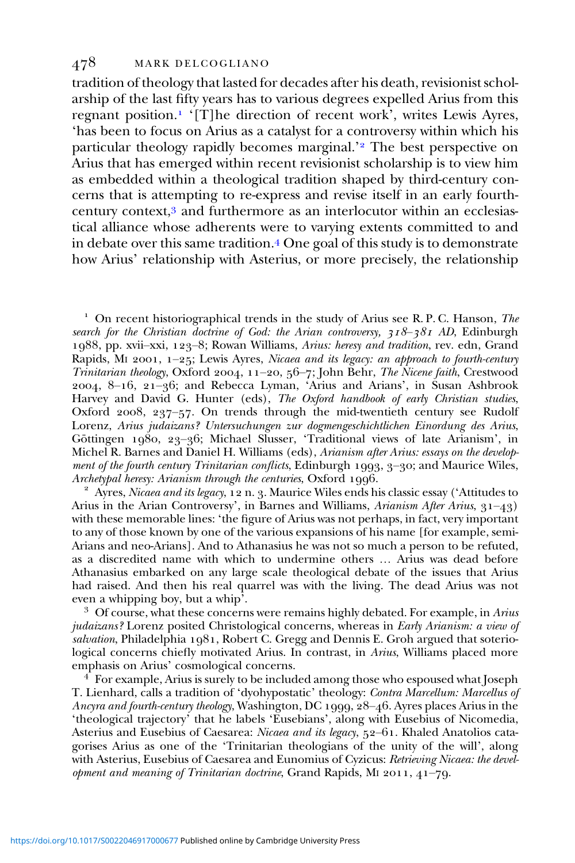tradition of theology that lasted for decades after his death, revisionist scholarship of the last fifty years has to various degrees expelled Arius from this regnant position.<sup>1</sup> '[T]he direction of recent work', writes Lewis Ayres, 'has been to focus on Arius as a catalyst for a controversy within which his particular theology rapidly becomes marginal.<sup>'</sup> The best perspective on Arius that has emerged within recent revisionist scholarship is to view him as embedded within a theological tradition shaped by third-century concerns that is attempting to re-express and revise itself in an early fourthcentury context, $3$  and furthermore as an interlocutor within an ecclesiastical alliance whose adherents were to varying extents committed to and in debate over this same tradition. $4$  One goal of this study is to demonstrate how Arius' relationship with Asterius, or more precisely, the relationship

<sup>1</sup> On recent historiographical trends in the study of Arius see R. P. C. Hanson, *The* search for the Christian doctrine of God: the Arian controversy,  $318-381$  AD, Edinburgh 1988, pp. xvii–xxi, 123–8; Rowan Williams, Arius: heresy and tradition, rev. edn, Grand Rapids, MI 2001,  $1-25$ ; Lewis Ayres, Nicaea and its legacy: an approach to fourth-century Trinitarian theology, Oxford 2004,  $11-20$ ,  $56-7$ ; John Behr, The Nicene faith, Crestwood  $2004$ ,  $8-16$ ,  $21-36$ ; and Rebecca Lyman, 'Arius and Arians', in Susan Ashbrook Harvey and David G. Hunter (eds), The Oxford handbook of early Christian studies, Oxford  $2008$ ,  $237-57$ . On trends through the mid-twentieth century see Rudolf Lorenz, Arius judaizans? Untersuchungen zur dogmengeschichtlichen Einordung des Arius, Göttingen  $1980, 23-36$ ; Michael Slusser, 'Traditional views of late Arianism', in Michel R. Barnes and Daniel H. Williams (eds), Arianism after Arius: essays on the development of the fourth century Trinitarian conflicts, Edinburgh 1993, 3-30; and Maurice Wiles, Archetypal heresy: Arianism through the centuries, Oxford 1996.

<sup>2</sup> Ayres, *Nicaea and its legacy*, 12 n. 3. Maurice Wiles ends his classic essay ('Attitudes to Arius in the Arian Controversy', in Barnes and Williams, Arianism After Arius,  $31-43$ ) with these memorable lines: 'the figure of Arius was not perhaps, in fact, very important to any of those known by one of the various expansions of his name [for example, semi-Arians and neo-Arians]. And to Athanasius he was not so much a person to be refuted, as a discredited name with which to undermine others … Arius was dead before Athanasius embarked on any large scale theological debate of the issues that Arius had raised. And then his real quarrel was with the living. The dead Arius was not even a whipping boy, but a whip'.<br>
<sup>3</sup> Of course, what these concerns were remains highly debated. For example, in Arius

judaizans? Lorenz posited Christological concerns, whereas in Early Arianism: a view of salvation, Philadelphia 1981, Robert C. Gregg and Dennis E. Groh argued that soteriological concerns chiefly motivated Arius. In contrast, in Arius, Williams placed more emphasis on Arius' cosmological concerns.

 $\overline{f}$  For example, Arius is surely to be included among those who espoused what Joseph T. Lienhard, calls a tradition of 'dyohypostatic' theology: Contra Marcellum: Marcellus of Ancyra and fourth-century theology, Washington, DC 1999, 28–46. Ayres places Arius in the 'theological trajectory' that he labels 'Eusebians', along with Eusebius of Nicomedia, Asterius and Eusebius of Caesarea: Nicaea and its legacy,  $52-61$ . Khaled Anatolios catagorises Arius as one of the 'Trinitarian theologians of the unity of the will', along with Asterius, Eusebius of Caesarea and Eunomius of Cyzicus: Retrieving Nicaea: the development and meaning of Trinitarian doctrine, Grand Rapids, MI  $2011, 41-79$ .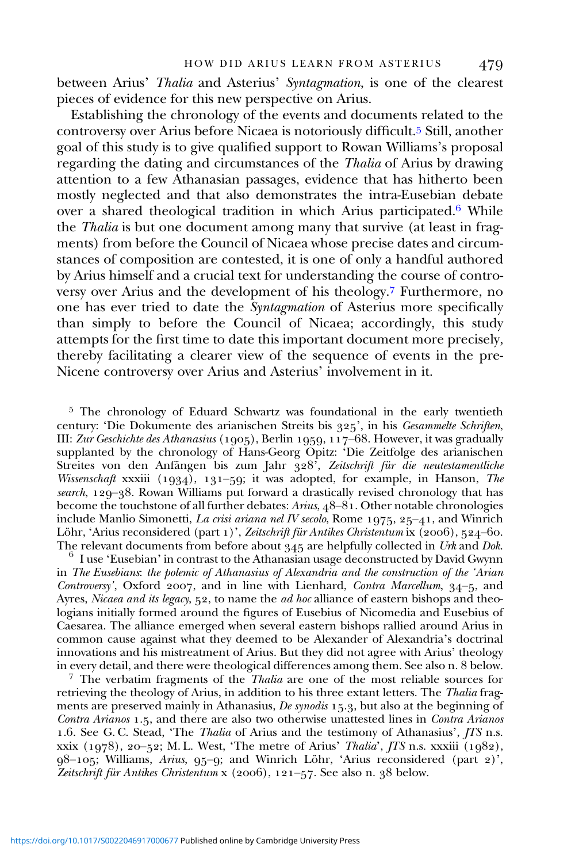between Arius' Thalia and Asterius' Syntagmation, is one of the clearest pieces of evidence for this new perspective on Arius.

Establishing the chronology of the events and documents related to the controversy over Arius before Nicaea is notoriously difficult.<sup>5</sup> Still, another goal of this study is to give qualified support to Rowan Williams's proposal regarding the dating and circumstances of the Thalia of Arius by drawing attention to a few Athanasian passages, evidence that has hitherto been mostly neglected and that also demonstrates the intra-Eusebian debate over a shared theological tradition in which Arius participated.<sup>6</sup> While the Thalia is but one document among many that survive (at least in fragments) from before the Council of Nicaea whose precise dates and circumstances of composition are contested, it is one of only a handful authored by Arius himself and a crucial text for understanding the course of controversy over Arius and the development of his theology.<sup>7</sup> Furthermore, no one has ever tried to date the Syntagmation of Asterius more specifically than simply to before the Council of Nicaea; accordingly, this study attempts for the first time to date this important document more precisely, thereby facilitating a clearer view of the sequence of events in the pre-Nicene controversy over Arius and Asterius' involvement in it.

 $5$  The chronology of Eduard Schwartz was foundational in the early twentieth century: 'Die Dokumente des arianischen Streits bis  $325'$ , in his Gesammelte Schriften, III: Zur Geschichte des Athanasius  $(1905)$ , Berlin 1959, 117–68. However, it was gradually supplanted by the chronology of Hans-Georg Opitz: 'Die Zeitfolge des arianischen Streites von den Anfängen bis zum Jahr 328<sup>5</sup>, Zeitschrift für die neutestamentliche Wissenschaft xxxiii  $(1934)$ ,  $131-59$ ; it was adopted, for example, in Hanson, The search,  $129-38$ . Rowan Williams put forward a drastically revised chronology that has become the touchstone of all further debates:  $Arius$ ,  $48-81$ . Other notable chronologies include Manlio Simonetti, La crisi ariana nel IV secolo, Rome 1975, 25–41, and Winrich Löhr, 'Arius reconsidered (part 1)', Zeitschrift für Antikes Christentum ix (2006), 524–60.<br>The relevant documents from before about 345 are helpfully collected in Urk and Dok.

 $6$  I use 'Eusebian' in contrast to the Athanasian usage deconstructed by David Gwynn in The Eusebians: the polemic of Athanasius of Alexandria and the construction of the 'Arian Controversy', Oxford 2007, and in line with Lienhard, Contra Marcellum,  $34-5$ , and Ayres, *Nicaea and its legacy*,  $52$ , to name the *ad hoc* alliance of eastern bishops and theologians initially formed around the figures of Eusebius of Nicomedia and Eusebius of Caesarea. The alliance emerged when several eastern bishops rallied around Arius in common cause against what they deemed to be Alexander of Alexandria's doctrinal innovations and his mistreatment of Arius. But they did not agree with Arius' theology in every detail, and there were theological differences among them. See also n. 8 below.

 The verbatim fragments of the Thalia are one of the most reliable sources for retrieving the theology of Arius, in addition to his three extant letters. The *Thalia* fragments are preserved mainly in Athanasius, *De synodis*  $15.3$ , but also at the beginning of Contra Arianos 1.5, and there are also two otherwise unattested lines in Contra Arianos 1.6. See G. C. Stead, 'The *Thalia* of Arius and the testimony of Athanasius', *JTS* n.s. xxix  $(1978)$ , 20-52; M. L. West, 'The metre of Arius' Thalia', *JTS* n.s. xxxiii  $(1982)$ , 98-105; Williams, Arius, 95-9; and Winrich Löhr, 'Arius reconsidered (part 2)', Zeitschrift für Antikes Christentum x  $(2006)$ , 121–57. See also n.  $38$  below.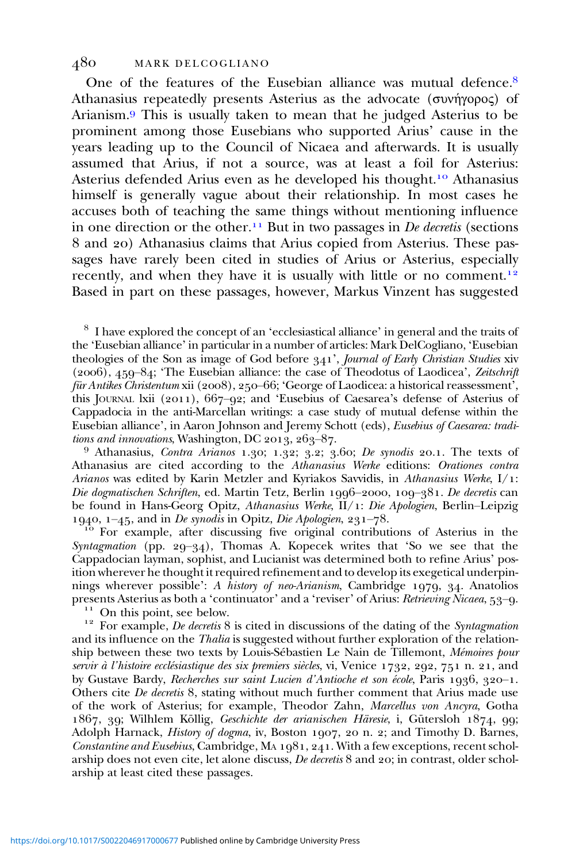One of the features of the Eusebian alliance was mutual defence. Athanasius repeatedly presents Asterius as the advocate (συνήγορος) of Arianism.<sup>9</sup> This is usually taken to mean that he judged Asterius to be prominent among those Eusebians who supported Arius' cause in the years leading up to the Council of Nicaea and afterwards. It is usually assumed that Arius, if not a source, was at least a foil for Asterius: Asterius defended Arius even as he developed his thought.<sup>10</sup> Athanasius himself is generally vague about their relationship. In most cases he accuses both of teaching the same things without mentioning influence in one direction or the other.<sup>11</sup> But in two passages in *De decretis* (sections 8 and 20) Athanasius claims that Arius copied from Asterius. These passages have rarely been cited in studies of Arius or Asterius, especially recently, and when they have it is usually with little or no comment.<sup>12</sup> Based in part on these passages, however, Markus Vinzent has suggested

<sup>8</sup> I have explored the concept of an 'ecclesiastical alliance' in general and the traits of the 'Eusebian alliance' in particular in a number of articles: Mark DelCogliano, 'Eusebian theologies of the Son as image of God before  $341'$ , Journal of Early Christian Studies xiv  $(2006)$ ,  $459-84$ ; 'The Eusebian alliance: the case of Theodotus of Laodicea', Zeitschrift für Antikes Christentum xii (2008), 250-66; 'George of Laodicea: a historical reassessment', this JOURNAL lxii (2011),  $667 - 92$ ; and 'Eusebius of Caesarea's defense of Asterius of Cappadocia in the anti-Marcellan writings: a case study of mutual defense within the Eusebian alliance', in Aaron Johnson and Jeremy Schott (eds), Eusebius of Caesarea: tradi-<br>tions and innovations, Washington, DC 2013, 263-87.

<sup>9</sup> Athanasius, Contra Arianos 1.30; 1.32; 3.2; 3.60; De synodis 20.1. The texts of Athanasius are cited according to the Athanasius Werke editions: Orationes contra Arianos was edited by Karin Metzler and Kyriakos Savvidis, in Athanasius Werke, I/1: Die dogmatischen Schriften, ed. Martin Tetz, Berlin 1996–2000, 109–381. De decretis can be found in Hans-Georg Opitz, Athanasius Werke,  $\overline{II}/1$ : Die Apologien, Berlin–Leipzig 1940, 1–45, and in De synodis in Opitz, Die Apologien, 231–78.

<sup>10</sup> For example, after discussing five original contributions of Asterius in the Syntagmation (pp.  $29-34$ ), Thomas A. Kopecek writes that 'So we see that the Cappadocian layman, sophist, and Lucianist was determined both to refine Arius' position wherever he thought it required refinement and to develop its exegetical underpinnings wherever possible': A history of neo-Arianism, Cambridge 1979, 34. Anatolios presents Asterius as both a 'continuator' and a 'reviser' of Arius: Retrieving Nicaea, 53–9.

<sup>11</sup> On this point, see below.<br><sup>12</sup> For example, *De decretis* 8 is cited in discussions of the dating of the Syntagmation and its influence on the Thalia is suggested without further exploration of the relationship between these two texts by Louis-Sébastien Le Nain de Tillemont, Mémoires pour servir à l'histoire ecclésiastique des six premiers siècles, vi, Venice  $1732, 292, 751$  n. 21, and by Gustave Bardy, Recherches sur saint Lucien d'Antioche et son école, Paris 1936, 320-1. Others cite  $De$  decretis 8, stating without much further comment that Arius made use of the work of Asterius; for example, Theodor Zahn, Marcellus von Ancyra, Gotha 1867, 39; Wilhlem Köllig, Geschichte der arianischen Häresie, i, Gütersloh 1874, 99; Adolph Harnack, *History of dogma*, iv, Boston 1907, 20 n. 2; and Timothy D. Barnes, Constantine and Eusebius, Cambridge, MA  $1981$ ,  $241$ . With a few exceptions, recent scholarship does not even cite, let alone discuss, De decretis 8 and 20; in contrast, older scholarship at least cited these passages.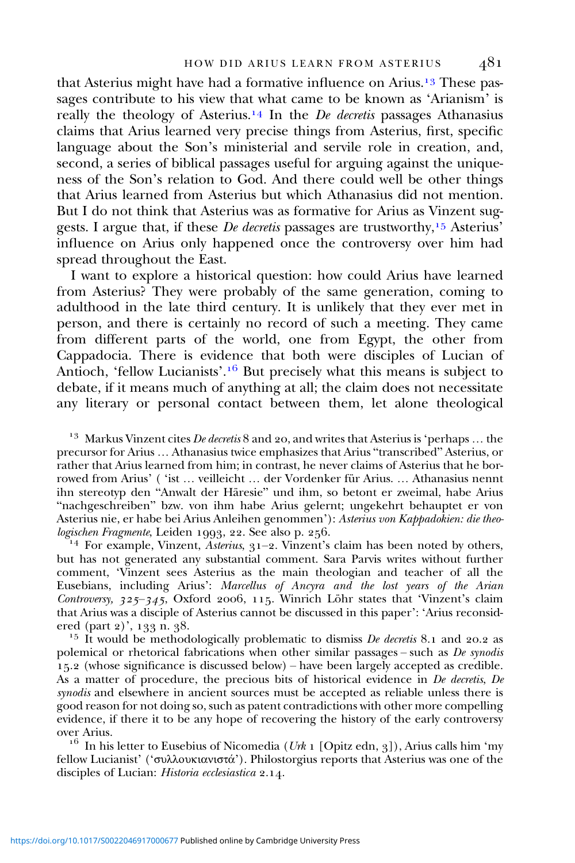that Asterius might have had a formative influence on Arius.<sup>13</sup> These passages contribute to his view that what came to be known as 'Arianism' is really the theology of Asterius.<sup>14</sup> In the *De decretis* passages Athanasius claims that Arius learned very precise things from Asterius, first, specific language about the Son's ministerial and servile role in creation, and, second, a series of biblical passages useful for arguing against the uniqueness of the Son's relation to God. And there could well be other things that Arius learned from Asterius but which Athanasius did not mention. But I do not think that Asterius was as formative for Arius as Vinzent suggests. I argue that, if these *De decretis* passages are trustworthy,<sup>15</sup> Asterius' influence on Arius only happened once the controversy over him had spread throughout the East.

I want to explore a historical question: how could Arius have learned from Asterius? They were probably of the same generation, coming to adulthood in the late third century. It is unlikely that they ever met in person, and there is certainly no record of such a meeting. They came from different parts of the world, one from Egypt, the other from Cappadocia. There is evidence that both were disciples of Lucian of Antioch, 'fellow Lucianists'.<sup>16</sup> But precisely what this means is subject to debate, if it means much of anything at all; the claim does not necessitate any literary or personal contact between them, let alone theological

<sup>13</sup> Markus Vinzent cites *De decretis* 8 and 20, and writes that Asterius is 'perhaps ... the precursor for Arius … Athanasius twice emphasizes that Arius "transcribed" Asterius, or rather that Arius learned from him; in contrast, he never claims of Asterius that he borrowed from Arius' ( 'ist … veilleicht … der Vordenker für Arius. … Athanasius nennt ihn stereotyp den "Anwalt der Häresie" und ihm, so betont er zweimal, habe Arius "nachgeschreiben" bzw. von ihm habe Arius gelernt; ungekehrt behauptet er von Asterius nie, er habe bei Arius Anleihen genommen'): Asterius von Kappadokien: die theologischen Fragmente, Leiden 1993, 22. See also p. 256.<br><sup>14</sup> For example, Vinzent, *Asterius*, 31–2. Vinzent's claim has been noted by others,

but has not generated any substantial comment. Sara Parvis writes without further comment, 'Vinzent sees Asterius as the main theologian and teacher of all the Eusebians, including Arius': Marcellus of Ancyra and the lost years of the Arian Controversy,  $325-345$ , Oxford 2006, 115. Winrich Löhr states that 'Vinzent's claim that Arius was a disciple of Asterius cannot be discussed in this paper': 'Arius reconsid-

<sup>15</sup> It would be methodologically problematic to dismiss *De decretis* 8.1 and 20.2 as polemical or rhetorical fabrications when other similar passages – such as  $De$  synodis . (whose significance is discussed below) – have been largely accepted as credible. As a matter of procedure, the precious bits of historical evidence in  $De$  decretis,  $De$ synodis and elsewhere in ancient sources must be accepted as reliable unless there is good reason for not doing so, such as patent contradictions with other more compelling evidence, if there it to be any hope of recovering the history of the early controversy over Arius.<br><sup>16</sup> In his letter to Eusebius of Nicomedia (*Urk* 1 [Opitz edn, 3]), Arius calls him 'my

fellow Lucianist' ('συλλουκιανιστά'). Philostorgius reports that Asterius was one of the disciples of Lucian: Historia ecclesiastica 2.14.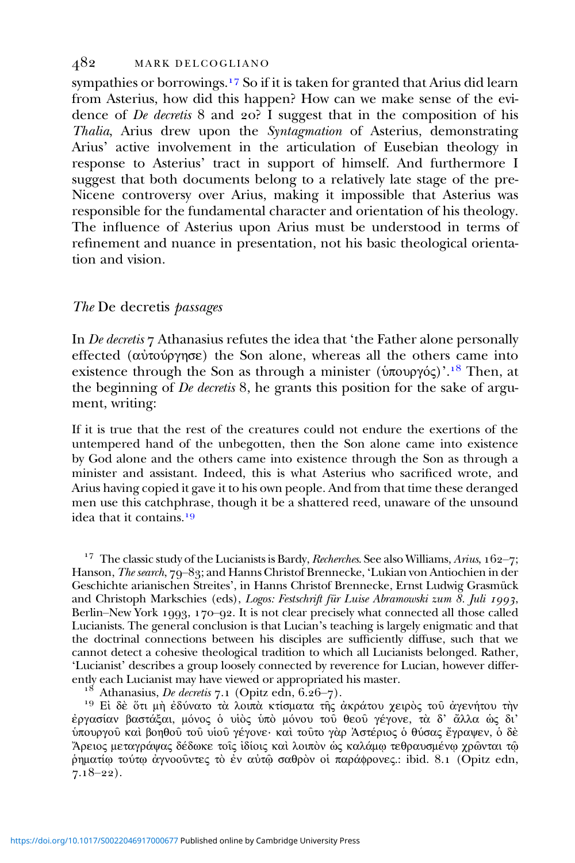sympathies or borrowings.<sup>17</sup> So if it is taken for granted that Arius did learn from Asterius, how did this happen? How can we make sense of the evidence of *De decretis* 8 and 20? I suggest that in the composition of his Thalia, Arius drew upon the Syntagmation of Asterius, demonstrating Arius' active involvement in the articulation of Eusebian theology in response to Asterius' tract in support of himself. And furthermore I suggest that both documents belong to a relatively late stage of the pre-Nicene controversy over Arius, making it impossible that Asterius was responsible for the fundamental character and orientation of his theology. The influence of Asterius upon Arius must be understood in terms of refinement and nuance in presentation, not his basic theological orientation and vision.

#### The De decretis passages

In  $De$  decretis  $\gamma$  Athanasius refutes the idea that 'the Father alone personally effected (αὐτούργησε) the Son alone, whereas all the others came into existence through the Son as through a minister (ὑπουργός)'.<sup>18</sup> Then, at the beginning of *De decretis* 8, he grants this position for the sake of argument, writing:

If it is true that the rest of the creatures could not endure the exertions of the untempered hand of the unbegotten, then the Son alone came into existence by God alone and the others came into existence through the Son as through a minister and assistant. Indeed, this is what Asterius who sacrificed wrote, and Arius having copied it gave it to his own people. And from that time these deranged men use this catchphrase, though it be a shattered reed, unaware of the unsound idea that it contains.

<sup>17</sup> The classic study of the Lucianists is Bardy, Recherches. See also Williams, Arius, 162–7; Hanson, The search, 79–83; and Hanns Christof Brennecke, 'Lukian von Antiochien in der Geschichte arianischen Streites', in Hanns Christof Brennecke, Ernst Ludwig Grasmück and Christoph Markschies (eds), Logos: Festschrift für Luise Abramowski zum  $\delta$ . Juli 1993, Berlin–New York 1993, 170–92. It is not clear precisely what connected all those called Lucianists. The general conclusion is that Lucian's teaching is largely enigmatic and that the doctrinal connections between his disciples are sufficiently diffuse, such that we cannot detect a cohesive theological tradition to which all Lucianists belonged. Rather, 'Lucianist' describes a group loosely connected by reverence for Lucian, however differ-

<sup>18</sup> Athanasius, De decretis 7.1 (Opitz edn, 6.26-7).<br><sup>19</sup> Εἰ δὲ ὅτι μὴ ἐδύνατο τὰ λοιπὰ κτίσματα τῆς ἀκράτου χειρὸς τοῦ ἀγενήτου τὴν ἐργασίαν βαστάξαι, μόνος ὁ υἱὸς ὑπὸ μόνου τοῦ θεοῦ γέγονε, τὰ δ' ἄλλα ὡς δι' ὑπουργοῦ καὶ βοηθοῦ τοῦ υἱοῦ γέγονε· καὶ τοῦτο γὰρ Ἀστέριος ὁ θύσας ἔγραψεν, ὁ δὲ Ἄρειος μεταγράψας δέδωκε τοῖς ἰδίοις καὶ λοιπὸν ὡς καλάμῳ τεθραυσμένῳ χρῶνται τῷ ρηματίω τούτω άγνοοῦντες τὸ ἐν αὐτῷ σαθρὸν οἱ παράφρονες.: ibid. 8.1 (Öpitz edn,  $7.18 - 22$ .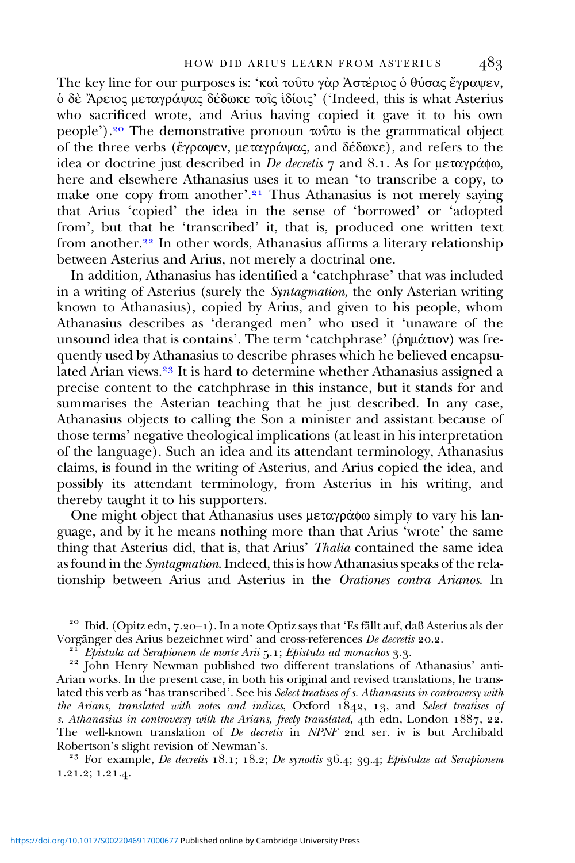The key line for our purposes is: 'καὶ τοῦτο γὰρ Ἀστέριος ὁ θύσας ἔγραψεν, ὁ δὲ Ἄρειος μεταγράψας δέδωκε τοῖς ἰδίοις' ('Indeed, this is what Asterius who sacrificed wrote, and Arius having copied it gave it to his own people'). The demonstrative pronoun τοῦτο is the grammatical object of the three verbs (ἔγραψεν, μεταγράψας, and δέδωκε), and refers to the idea or doctrine just described in De decretis  $\tau$  and 8.1. As for μεταγράφω, here and elsewhere Athanasius uses it to mean 'to transcribe a copy, to make one copy from another'.<sup>21</sup> Thus Athanasius is not merely saying that Arius 'copied' the idea in the sense of 'borrowed' or 'adopted from', but that he 'transcribed' it, that is, produced one written text from another.<sup>22</sup> In other words, Athanasius affirms a literary relationship between Asterius and Arius, not merely a doctrinal one.

In addition, Athanasius has identified a 'catchphrase' that was included in a writing of Asterius (surely the Syntagmation, the only Asterian writing known to Athanasius), copied by Arius, and given to his people, whom Athanasius describes as 'deranged men' who used it 'unaware of the unsound idea that is contains'. The term 'catchphrase' (ῥημάτιον) was frequently used by Athanasius to describe phrases which he believed encapsulated Arian views.<sup>23</sup> It is hard to determine whether Athanasius assigned a precise content to the catchphrase in this instance, but it stands for and summarises the Asterian teaching that he just described. In any case, Athanasius objects to calling the Son a minister and assistant because of those terms' negative theological implications (at least in his interpretation of the language). Such an idea and its attendant terminology, Athanasius claims, is found in the writing of Asterius, and Arius copied the idea, and possibly its attendant terminology, from Asterius in his writing, and thereby taught it to his supporters.

One might object that Athanasius uses μεταγράφω simply to vary his language, and by it he means nothing more than that Arius 'wrote' the same thing that Asterius did, that is, that Arius' Thalia contained the same idea as found in the Syntagmation. Indeed, this is how Athanasius speaks of the relationship between Arius and Asterius in the Orationes contra Arianos. In

<sup>20</sup> Ibid. (Opitz edn,  $7.20-1$ ). In a note Optiz says that 'Es fällt auf, daß Asterius als der Vorgänger des Arius bezeichnet wird' and cross-references *De decretis* 20.2.

<sup>21</sup> Epistula ad Serapionem de morte Arii 5.1; Epistula ad monachos 3.3.<br><sup>22</sup> John Henry Newman published two different translations of Athanasius' anti-Arian works. In the present case, in both his original and revised translations, he translated this verb as 'has transcribed'. See his Select treatises of s. Athanasius in controversy with the Arians, translated with notes and indices, Oxford  $1842, 13$ , and Select treatises of s. Athanasius in controversy with the Arians, freely translated,  $4$ th edn, London  $1887$ , 22. The well-known translation of *De decretis* in *NPNF* and ser. iv is but Archibald Robertson's slight revision of Newman's.

<sup>23</sup> For example, De decretis 18.1; 18.2; De synodis  $36.4$ ;  $39.4$ ; Epistulae ad Serapionem  $1.21.2; 1.21.4.$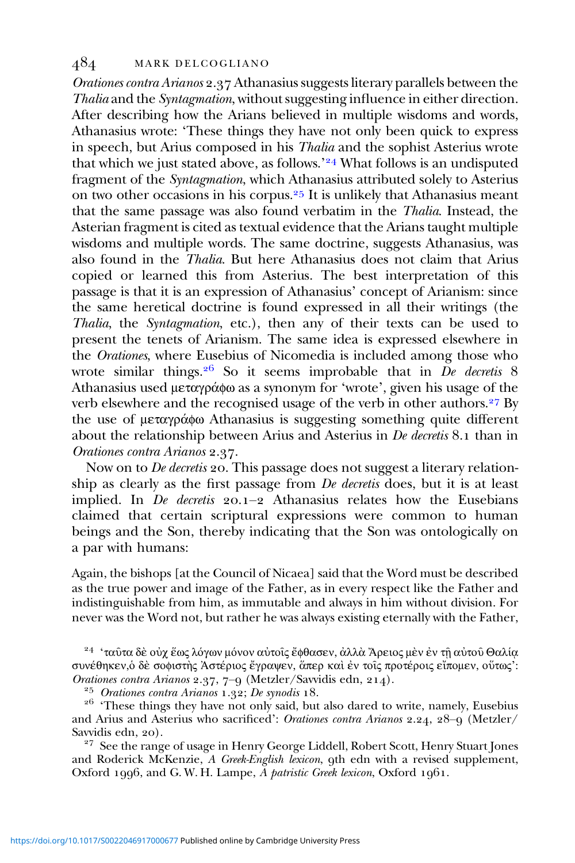Orationes contra Arianos 2.37 Athanasius suggests literary parallels between the Thalia and the Syntagmation, without suggesting influence in either direction. After describing how the Arians believed in multiple wisdoms and words, Athanasius wrote: 'These things they have not only been quick to express in speech, but Arius composed in his *Thalia* and the sophist Asterius wrote that which we just stated above, as follows.<sup>24</sup> What follows is an undisputed fragment of the Syntagmation, which Athanasius attributed solely to Asterius on two other occasions in his corpus.<sup>25</sup> It is unlikely that Athanasius meant that the same passage was also found verbatim in the Thalia. Instead, the Asterian fragment is cited as textual evidence that the Arians taught multiple wisdoms and multiple words. The same doctrine, suggests Athanasius, was also found in the Thalia. But here Athanasius does not claim that Arius copied or learned this from Asterius. The best interpretation of this passage is that it is an expression of Athanasius' concept of Arianism: since the same heretical doctrine is found expressed in all their writings (the Thalia, the Syntagmation, etc.), then any of their texts can be used to present the tenets of Arianism. The same idea is expressed elsewhere in the Orationes, where Eusebius of Nicomedia is included among those who wrote similar things.<sup>26</sup> So it seems improbable that in  $\overrightarrow{De}$  decretis 8 Athanasius used μεταγράϕω as a synonym for 'wrote', given his usage of the verb elsewhere and the recognised usage of the verb in other authors.<sup>27</sup> By the use of μεταγράϕω Athanasius is suggesting something quite different about the relationship between Arius and Asterius in  $De$  decretis 8.1 than in Orationes contra Arianos 2.37.

Now on to *De decretis* 20. This passage does not suggest a literary relationship as clearly as the first passage from  $De$  decretis does, but it is at least implied. In  $\overline{De}$  decretis 20.1–2 Athanasius relates how the Eusebians claimed that certain scriptural expressions were common to human beings and the Son, thereby indicating that the Son was ontologically on a par with humans:

Again, the bishops [at the Council of Nicaea] said that the Word must be described as the true power and image of the Father, as in every respect like the Father and indistinguishable from him, as immutable and always in him without division. For never was the Word not, but rather he was always existing eternally with the Father,

<sup>24</sup> 'ταῦτα δὲ οὐχ ἕως λόγων μόνον αὐτοῖς ἔφθασεν, ἀλλὰ Ἄρειος μὲν ἐν τῆ αὐτοῦ Θαλία συνέθηκεν, δε σοφιστής Ἀστέριος ἔγραψεν, ἅπερ καὶ ἐν τοῖς προτέροις εἴπομεν, οὕτως':<br>Orationes contra Arianos 2.37, 7-9 (Metzler/Savvidis edn, 214).

<sup>25</sup> Orationes contra Arianos 1.32; De synodis 18.<br><sup>26</sup> 'These things they have not only said, but also dared to write, namely, Eusebius and Arius and Asterius who sacrificed': Orationes contra Arianos 2.24,  $28-9$  (Metzler/ Savvidis edn, 20).

<sup>27</sup> See the range of usage in Henry George Liddell, Robert Scott, Henry Stuart Jones and Roderick McKenzie, A Greek-English lexicon, oth edn with a revised supplement, Oxford 1996, and G. W. H. Lampe, A patristic Greek lexicon, Oxford 1961.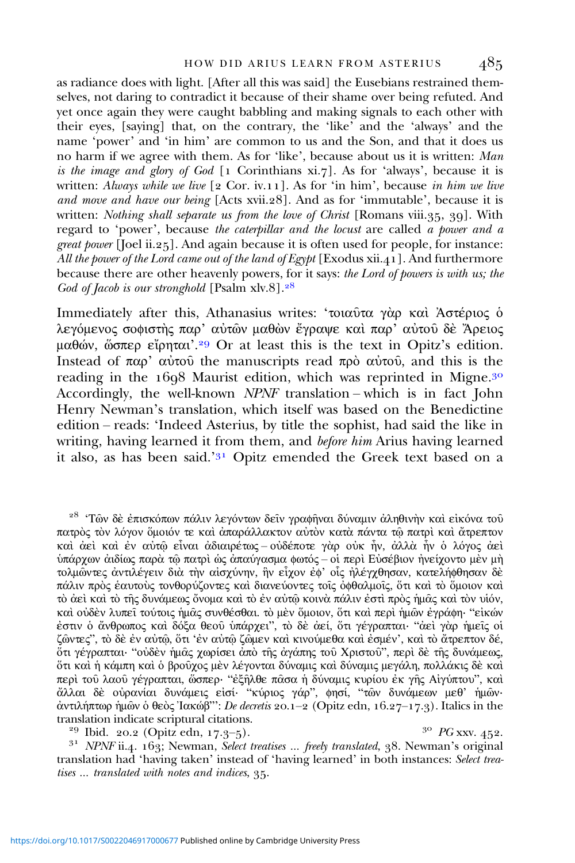#### HOW DID ARIUS LEARN FROM ASTERIUS

as radiance does with light. [After all this was said] the Eusebians restrained themselves, not daring to contradict it because of their shame over being refuted. And yet once again they were caught babbling and making signals to each other with their eyes, [saying] that, on the contrary, the 'like' and the 'always' and the name 'power' and 'in him' are common to us and the Son, and that it does us no harm if we agree with them. As for 'like', because about us it is written: Man is the image and glory of God  $\lceil 1 \rceil$  Corinthians xi.7.]. As for 'always', because it is written: Always while we live  $[2 \text{ Cor. iv.}11]$ . As for 'in him', because in him we live and move and have our being  $[Acts xvii.28]$ . And as for 'immutable', because it is written: Nothing shall separate us from the love of Christ [Romans viii.  $35, 39$ ]. With regard to 'power', because the caterpillar and the locust are called a power and  $a$ *great power* [Joel ii.25]. And again because it is often used for people, for instance: All the power of the Lord came out of the land of Egypt [Exodus  $xii.41$ ]. And furthermore because there are other heavenly powers, for it says: the Lord of powers is with us; the God of Jacob is our stronghold [Psalm xlv.8].<sup>28</sup>

Immediately after this, Athanasius writes: 'τοιαῦτα γὰρ καὶ Ἀστέριος ὁ λεγόμενος σοϕιστὴς παρ' αὐτῶν μαθὼν ἔγραψε καὶ παρ' αὐτοῦ δὲ Ἄρειος μαθών, ὥσπερ εἴρηται'.<sup>29</sup> Or at least this is the text in Opitz's edition. Instead of παρ' αὐτοῦ the manuscripts read πρὸ αὐτοῦ, and this is the reading in the  $1608$  Maurist edition, which was reprinted in Migne.<sup>30</sup> Accordingly, the well-known NPNF translation – which is in fact John Henry Newman's translation, which itself was based on the Benedictine edition – reads: 'Indeed Asterius, by title the sophist, had said the like in writing, having learned it from them, and *before him* Arius having learned it also, as has been said.'<sup>31</sup> Opitz emended the Greek text based on a

<sup>28</sup> 'Τῶν δὲ ἐπισκόπων πάλιν λεγόντων δεῖν γραφῆναι δύναμιν ἀληθινὴν καὶ εἰκόνα τοῦ πατρὸς τὸν λόγον ὅμοιόν τε καὶ ἀπαράλλακτον αὐτὸν κατὰ πάντα τῷ πατρὶ καὶ ἄτρεπτον καὶ ἀεὶ καὶ ἐν αὐτῷ εἶναι ἀδιαιρέτως – οὐδέποτε γὰρ οὐκ ἦν, ἀλλὰ ἦν ὁ λόγος ἀεὶ ὑπάρχων ἀιδίως παρὰ τῷ πατρὶ ὡς ἀπαύγασμα ϕωτός – οἱ περὶ Εὐσέβιον ἠνείχοντο μὲν μὴ τολμῶντες ἀντιλέγειν διὰ τὴν αἰσχύνην, ἣν εἶχον ἐϕ' οἷς ἠλέγχθησαν, κατελήϕθησαν δὲ πάλιν πρὸς ἑαυτοὺς τονθορύζοντες καὶ διανεύοντες τοῖς ὀϕθαλμοῖς, ὅτι καὶ τὸ ὅμοιον καὶ τὸ ἀεὶ καὶ τὸ τῆς δυνάμεως ὄνομα καὶ τὸ ἐν αὐτῷ κοινὰ πάλιν ἐστὶ πρὸς ἡμᾶς καὶ τὸν υἱόν, καὶ οὐδὲν λυπεῖ τούτοις ἡμᾶς συνθέσθαι. τὸ μὲν ὅμοιον, ὅτι καὶ περὶ ἡμῶν ἐγράϕη· "εἰκών ἐστιν ὁ ἄνθρωπος καὶ δόξα θεοῦ ὑπάρχει", τὸ δὲ ἀεί, ὅτι γέγραπται· "ἀεὶ γὰρ ἡμεῖς οἱ ζῶντες", τὸ δὲ ἐν αὐτῷ, ὅτι 'ἐν αὐτῷ ζῶμεν καὶ κινούμεθα καὶ ἐσμέν', καὶ τὸ ἄτρεπτον δέ, ὅτι γέγραπται· "οὐδὲν ἡμᾶς χωρίσει ἀπὸ τῆς ἀγάπης τοῦ Χριστοῦ", περὶ δὲ τῆς δυνάμεως, ὅτι καὶ ἡ κάμπη καὶ ὁ βροῦχος μὲν λέγονται δύναμις καὶ δύναμις μεγάλη, πολλάκις δὲ καὶ περὶ τοῦ λαοῦ γέγραπται, ὥσπερ· "ἐξῆλθε πᾶσα ἡ δύναμις κυρίου ἐκ γῆς Αἰγύπτου", καὶ ἄλλαι δὲ οὐρανίαι δυνάμεις εἰσί· "κύριος γάρ", ϕησί, "τῶν δυνάμεων μεθ' ἡμῶν· άντιλήπτωρ ήμῶν ὁ θεὸς Ἰακώβ"': De decretis 20.1-2 (Opitz edn, 16.27-17.3). Italics in the

translation indicate scriptural citations.<br>
<sup>29</sup> Ibid. 20.2 (Opitz edn, 17.3–5).<br>
<sup>31</sup> *NPNF* ii.4. 163; Newman, *Select treatises … freely translated*, 38. Newman's original translation had 'having taken' instead of 'having learned' in both instances: Select treatises  $\ldots$  translated with notes and indices,  $35$ .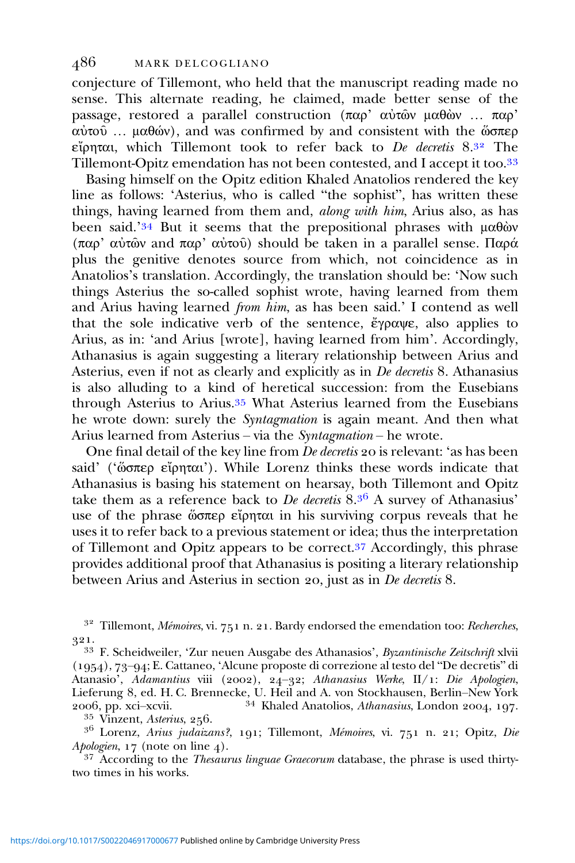conjecture of Tillemont, who held that the manuscript reading made no sense. This alternate reading, he claimed, made better sense of the passage, restored a parallel construction (παρ' αὐτῶν μαθὼν … παρ' αὐτοῦ … μαθών), and was confirmed by and consistent with the ὥσπερ εἴρηται, which Tillemont took to refer back to De decretis 8.<sup>32</sup> The Tillemont-Opitz emendation has not been contested, and I accept it too.

Basing himself on the Opitz edition Khaled Anatolios rendered the key line as follows: 'Asterius, who is called "the sophist", has written these things, having learned from them and, *along with him*, Arius also, as has been said.'<sup>34</sup> But it seems that the prepositional phrases with  $\mu\alpha\theta$ ών (παρ' αὐτῶν and παρ' αὐτοῦ) should be taken in a parallel sense. Παρά plus the genitive denotes source from which, not coincidence as in Anatolios's translation. Accordingly, the translation should be: 'Now such things Asterius the so-called sophist wrote, having learned from them and Arius having learned from him, as has been said.' I contend as well that the sole indicative verb of the sentence, ἔγραψε, also applies to Arius, as in: 'and Arius [wrote], having learned from him'. Accordingly, Athanasius is again suggesting a literary relationship between Arius and Asterius, even if not as clearly and explicitly as in  $\overrightarrow{De}$  decretis 8. Athanasius is also alluding to a kind of heretical succession: from the Eusebians through Asterius to Arius.<sup>35</sup> What Asterius learned from the Eusebians he wrote down: surely the Syntagmation is again meant. And then what Arius learned from Asterius – via the Syntagmation – he wrote.

One final detail of the key line from  $\overline{De}$  decretis 20 is relevant: 'as has been said' ('ὥσπερ εἴρηται'). While Lorenz thinks these words indicate that Athanasius is basing his statement on hearsay, both Tillemont and Opitz take them as a reference back to *De decretis*  $8.3<sup>6</sup>$  A survey of Athanasius' use of the phrase ὥσπερ εἴρηται in his surviving corpus reveals that he uses it to refer back to a previous statement or idea; thus the interpretation of Tillemont and Opitz appears to be correct.  $37$  Accordingly, this phrase provides additional proof that Athanasius is positing a literary relationship between Arius and Asterius in section 20, just as in De decretis 8.

 $3^2$  Tillemont, *Mémoires*, vi. 751 n. 21. Bardy endorsed the emendation too: Recherches, 321.

 F. Scheidweiler, 'Zur neuen Ausgabe des Athanasios', Byzantinische Zeitschrift xlvii  $(1954), 73-94$ ; E. Cattaneo, 'Alcune proposte di correzione al testo del "De decretis" di Atanasio', Adamantius viii (2002), 24-32; Athanasius Werke, II/1: Die Apologien, Lieferung 8, ed. H. C. Brennecke, U. Heil and A. von Stockhausen, Berlin–New York 2006, pp. xci–xcvii. 34 Khaled Anatolios, Athanasius, London 2004, 197.

<sup>35</sup> Vinzent, Asterius, 256.<br><sup>36</sup> Lorenz, Arius judaizans?, 191; Tillemont, Mémoires, vi. 751 n. 21; Opitz, Die Apologien,  $17$  (note on line 4).

 $37$  According to the *Thesaurus linguae Graecorum* database, the phrase is used thirtytwo times in his works.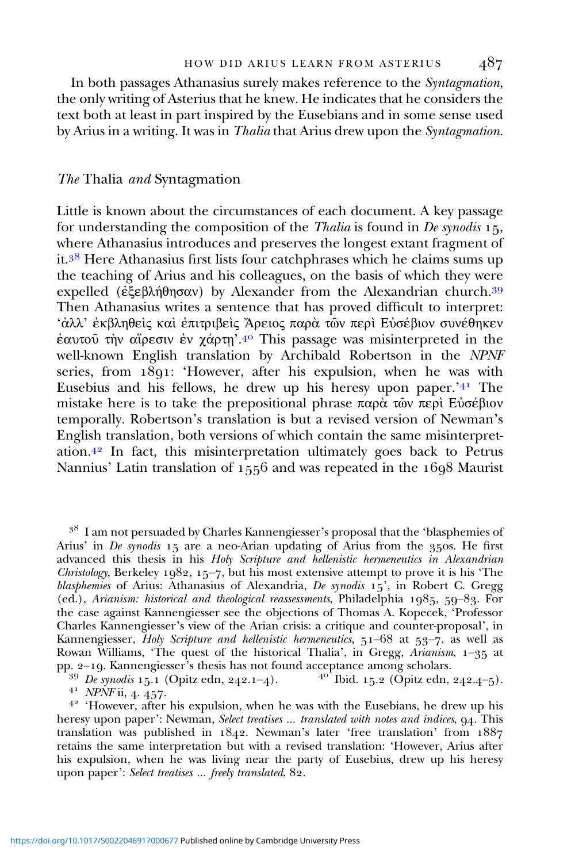#### HOW DID ARIUS LEARN FROM ASTERIUS

In both passages Athanasius surely makes reference to the Syntagmation, the only writing of Asterius that he knew. He indicates that he considers the text both at least in part inspired by the Eusebians and in some sense used by Arius in a writing. It was in Thalia that Arius drew upon the Syntagmation.

#### The Thalia and Syntagmation

Little is known about the circumstances of each document. A key passage for understanding the composition of the *Thalia* is found in De synodis  $15$ , where Athanasius introduces and preserves the longest extant fragment of it.<sup>38</sup> Here Athanasius first lists four catchphrases which he claims sums up the teaching of Arius and his colleagues, on the basis of which they were expelled (εξεβλήθησαν) by Alexander from the Alexandrian church.<sup>39</sup> Then Athanasius writes a sentence that has proved difficult to interpret: 'ἀλλ' ἐκβληθεὶς καὶ ἐπιτριβεὶς Ἄρειος παρὰ τῶν περὶ Εὐσέβιον συνέθηκεν ἑαυτοῦ τὴν αἵρεσιν ἐν χάρτῃ'. This passage was misinterpreted in the well-known English translation by Archibald Robertson in the NPNF series, from  $18q1$ : 'However, after his expulsion, when he was with Eusebius and his fellows, he drew up his heresy upon paper.<sup>'41</sup> The mistake here is to take the prepositional phrase παρά τῶν περὶ Εὐσέβιον temporally. Robertson's translation is but a revised version of Newman's English translation, both versions of which contain the same misinterpret $a$ tion.<sup>42</sup> In fact, this misinterpretation ultimately goes back to Petrus Nannius' Latin translation of  $1556$  and was repeated in the  $1698$  Maurist

<sup>38</sup> I am not persuaded by Charles Kannengiesser's proposal that the 'blasphemies of Arius' in De synodis  $15$  are a neo-Arian updating of Arius from the 350s. He first advanced this thesis in his Holy Scripture and hellenistic hermeneutics in Alexandrian Christology, Berkeley 1982, 15-7, but his most extensive attempt to prove it is his 'The blasphemies of Arius: Athanasius of Alexandria, De synodis  $15'$ , in Robert C. Gregg (ed.), Arianism: historical and theological reassessments, Philadelphia  $1985, 59-83$ . For the case against Kannengiesser see the objections of Thomas A. Kopecek, 'Professor Charles Kannengiesser's view of the Arian crisis: a critique and counter-proposal', in Kannengiesser, Holy Scripture and hellenistic hermeneutics,  $51-68$  at  $53-7$ , as well as Rowan Williams, 'The quest of the historical Thalia', in Gregg, Arianism,  $1-35$  at pp.  $2-19$ . Kannengiesser's thesis has not found acceptance among scholars.

<sup>39</sup> *De synodis* 15.1 (Opitz edn, 242.1–4). <sup>40</sup> Ibid. 15.2 (Opitz edn, 242.4–5).<br><sup>41</sup> *NPNF* ii, 4. 457.<br><sup>42</sup> 'However, after his expulsion, when he was with the Eusebians, he drew up his

heresy upon paper': Newman, Select treatises ... translated with notes and indices, 94. This translation was published in  $1842$ . Newman's later 'free translation' from  $1887$ retains the same interpretation but with a revised translation: 'However, Arius after his expulsion, when he was living near the party of Eusebius, drew up his heresy upon paper': Select treatises  $\ldots$  freely translated,  $82$ .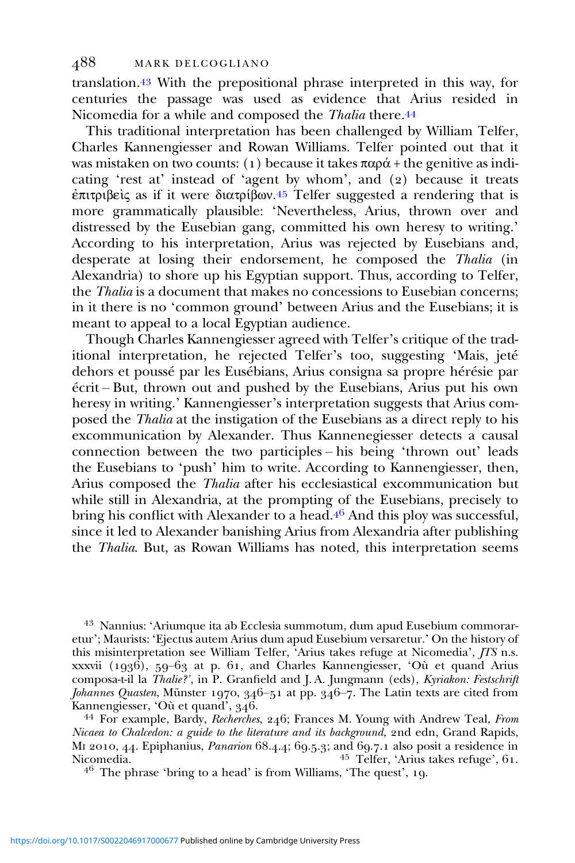translation. $43$  With the prepositional phrase interpreted in this way, for centuries the passage was used as evidence that Arius resided in Nicomedia for a while and composed the Thalia there.<sup>44</sup>

This traditional interpretation has been challenged by William Telfer, Charles Kannengiesser and Rowan Williams. Telfer pointed out that it was mistaken on two counts: (1) because it takes  $παρά + the$  genitive as indicating 'rest at' instead of 'agent by whom', and  $(2)$  because it treats ἐπιτριβεὶς as if it were διατρίβων. Telfer suggested a rendering that is more grammatically plausible: 'Nevertheless, Arius, thrown over and distressed by the Eusebian gang, committed his own heresy to writing.' According to his interpretation, Arius was rejected by Eusebians and, desperate at losing their endorsement, he composed the Thalia (in Alexandria) to shore up his Egyptian support. Thus, according to Telfer, the Thalia is a document that makes no concessions to Eusebian concerns; in it there is no 'common ground' between Arius and the Eusebians; it is meant to appeal to a local Egyptian audience.

Though Charles Kannengiesser agreed with Telfer's critique of the traditional interpretation, he rejected Telfer's too, suggesting 'Mais, jeté dehors et poussé par les Eusébians, Arius consigna sa propre hérésie par écrit – But, thrown out and pushed by the Eusebians, Arius put his own heresy in writing.' Kannengiesser's interpretation suggests that Arius composed the Thalia at the instigation of the Eusebians as a direct reply to his excommunication by Alexander. Thus Kannenegiesser detects a causal connection between the two participles – his being 'thrown out' leads the Eusebians to 'push' him to write. According to Kannengiesser, then, Arius composed the Thalia after his ecclesiastical excommunication but while still in Alexandria, at the prompting of the Eusebians, precisely to bring his conflict with Alexander to a head. $4^6$  And this ploy was successful, since it led to Alexander banishing Arius from Alexandria after publishing the Thalia. But, as Rowan Williams has noted, this interpretation seems

 Nannius: 'Ariumque ita ab Ecclesia summotum, dum apud Eusebium commoraretur'; Maurists: 'Ejectus autem Arius dum apud Eusebium versaretur.' On the history of this misinterpretation see William Telfer, 'Arius takes refuge at Nicomedia',  $\overline{TS}$  n.s. xxxvii  $(1936)$ , 59–63 at p. 61, and Charles Kannengiesser, 'Où et quand Arius composa-t-il la Thalie?', in P. Granfield and J. A. Jungmann (eds), Kyriakon: Festschrift *Johannes Quasten*, Münster 1970, 346–51 at pp. 346–7. The Latin texts are cited from Kannengiesser, 'Où et quand', 346.

<sup>44</sup> For example, Bardy, *Recherches*, 246; Frances M. Young with Andrew Teal, From Nicaea to Chalcedon: a guide to the literature and its background, 2nd edn, Grand Rapids, MI 2010, 44. Epiphanius, *Panarion* 68.4.4; 69.5.3; and 69.7.1 also posit a residence in Nicomedia. <sup>45</sup> Telfer, 'Arius takes refuge', 61.

 $4<sup>6</sup>$  The phrase 'bring to a head' is from Williams, 'The quest', 19.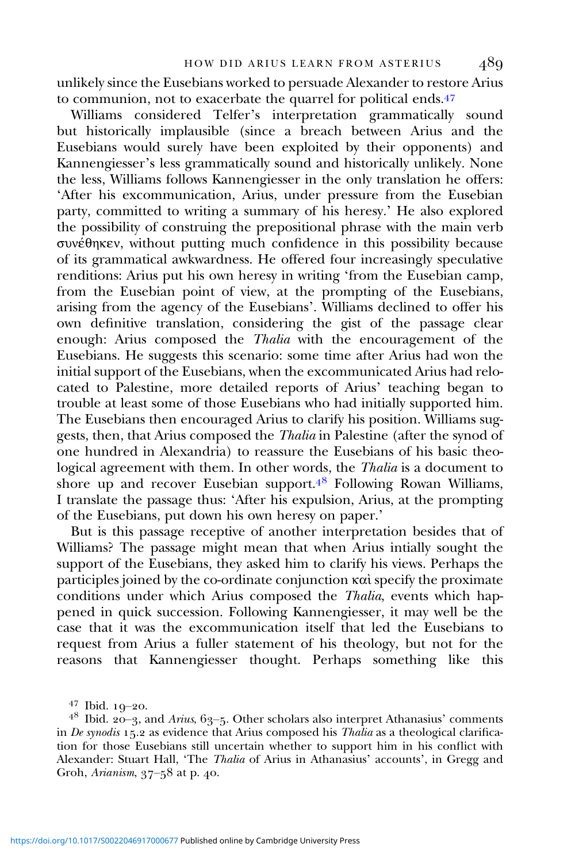unlikely since the Eusebians worked to persuade Alexander to restore Arius to communion, not to exacerbate the quarrel for political ends.<sup>47</sup>

Williams considered Telfer's interpretation grammatically sound but historically implausible (since a breach between Arius and the Eusebians would surely have been exploited by their opponents) and Kannengiesser's less grammatically sound and historically unlikely. None the less, Williams follows Kannengiesser in the only translation he offers: 'After his excommunication, Arius, under pressure from the Eusebian party, committed to writing a summary of his heresy.' He also explored the possibility of construing the prepositional phrase with the main verb συνέθηκεν, without putting much confidence in this possibility because of its grammatical awkwardness. He offered four increasingly speculative renditions: Arius put his own heresy in writing 'from the Eusebian camp, from the Eusebian point of view, at the prompting of the Eusebians, arising from the agency of the Eusebians'. Williams declined to offer his own definitive translation, considering the gist of the passage clear enough: Arius composed the Thalia with the encouragement of the Eusebians. He suggests this scenario: some time after Arius had won the initial support of the Eusebians, when the excommunicated Arius had relocated to Palestine, more detailed reports of Arius' teaching began to trouble at least some of those Eusebians who had initially supported him. The Eusebians then encouraged Arius to clarify his position. Williams suggests, then, that Arius composed the Thalia in Palestine (after the synod of one hundred in Alexandria) to reassure the Eusebians of his basic theological agreement with them. In other words, the Thalia is a document to shore up and recover Eusebian support. $4^8$  Following Rowan Williams, I translate the passage thus: 'After his expulsion, Arius, at the prompting of the Eusebians, put down his own heresy on paper.'

But is this passage receptive of another interpretation besides that of Williams? The passage might mean that when Arius intially sought the support of the Eusebians, they asked him to clarify his views. Perhaps the participles joined by the co-ordinate conjunction καὶ specify the proximate conditions under which Arius composed the Thalia, events which happened in quick succession. Following Kannengiesser, it may well be the case that it was the excommunication itself that led the Eusebians to request from Arius a fuller statement of his theology, but not for the reasons that Kannengiesser thought. Perhaps something like this

<sup>&</sup>lt;sup>47</sup> Ibid. 19–20.<br><sup>48</sup> Ibid. 20–3, and *Arius*, 63–5. Other scholars also interpret Athanasius' comments in De synodis  $15.2$  as evidence that Arius composed his Thalia as a theological clarification for those Eusebians still uncertain whether to support him in his conflict with Alexander: Stuart Hall, 'The Thalia of Arius in Athanasius' accounts', in Gregg and Groh, Arianism,  $37-58$  at p. 40.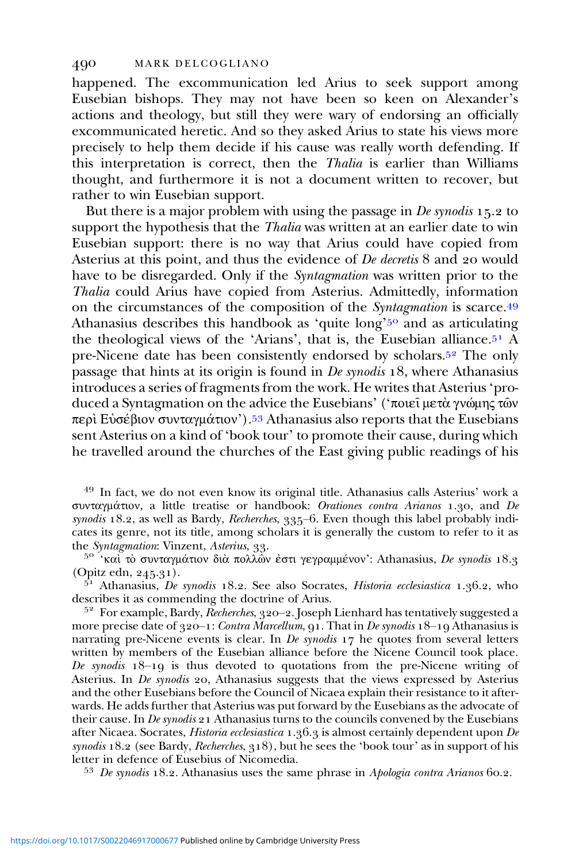happened. The excommunication led Arius to seek support among Eusebian bishops. They may not have been so keen on Alexander's actions and theology, but still they were wary of endorsing an officially excommunicated heretic. And so they asked Arius to state his views more precisely to help them decide if his cause was really worth defending. If this interpretation is correct, then the Thalia is earlier than Williams thought, and furthermore it is not a document written to recover, but rather to win Eusebian support.

But there is a major problem with using the passage in  $De$  synodis 15.2 to support the hypothesis that the *Thalia* was written at an earlier date to win Eusebian support: there is no way that Arius could have copied from Asterius at this point, and thus the evidence of  $De$  decretis  $8$  and  $20$  would have to be disregarded. Only if the Syntagmation was written prior to the Thalia could Arius have copied from Asterius. Admittedly, information on the circumstances of the composition of the Syntagmation is scarce.<sup>49</sup> Athanasius describes this handbook as 'quite long'<sup>50</sup> and as articulating the theological views of the 'Arians', that is, the Eusebian alliance.<sup>51</sup> A pre-Nicene date has been consistently endorsed by scholars.<sup>52</sup> The only passage that hints at its origin is found in  $De$  synodis 18, where Athanasius introduces a series of fragments from the work. He writes that Asterius 'produced a Syntagmation on the advice the Eusebians' ('ποιεῖ μετὰ γνώμης τῶν περὶ Εὐσέβιον συνταγμάτιον').<sup>53</sup> Athanasius also reports that the Eusebians sent Asterius on a kind of 'book tour' to promote their cause, during which he travelled around the churches of the East giving public readings of his

<sup>49</sup> In fact, we do not even know its original title. Athanasius calls Asterius' work a συνταγμάτιον, a little treatise or handbook: Orationes contra Arianos ., and De synodis 18.2, as well as Bardy, Recherches, 335-6. Even though this label probably indicates its genre, not its title, among scholars it is generally the custom to refer to it as the *Syntagmation*: Vinzent, *Asterius*, 33.

<sup>50</sup> 'καὶ τὸ συνταγμάτιον διὰ πολλῶν ἐστι γεγραμμένον': Athanasius, De synodis 18.3 (Opitz edn, 245.31).

 $\frac{5^1}{10}$  Athanasius, De synodis 18.2. See also Socrates, *Historia ecclesiastica* 1.36.2, who describes it as commending the doctrine of Arius.

 $5<sup>2</sup>$  For example, Bardy, Recherches, 320–2. Joseph Lienhard has tentatively suggested a more precise date of  $920-1$ : Contra Marcellum,  $91$ . That in De synodis  $18-19$  Athanasius is narrating pre-Nicene events is clear. In  $De$  synodis  $17$  he quotes from several letters written by members of the Eusebian alliance before the Nicene Council took place. De synodis  $18-19$  is thus devoted to quotations from the pre-Nicene writing of Asterius. In  $De$  synodis 20, Athanasius suggests that the views expressed by Asterius and the other Eusebians before the Council of Nicaea explain their resistance to it afterwards. He adds further that Asterius was put forward by the Eusebians as the advocate of their cause. In *De synodis*  $\alpha$  Athanasius turns to the councils convened by the Eusebians after Nicaea. Socrates, *Historia ecclesiastica*  $1.36.3$  is almost certainly dependent upon De synodis  $18.2$  (see Bardy, *Recherches*,  $318$ ), but he sees the 'book tour' as in support of his letter in defence of Eusebius of Nicomedia.

 $15^3$  *De synodis* 18.2. Athanasius uses the same phrase in Apologia contra Arianos 60.2.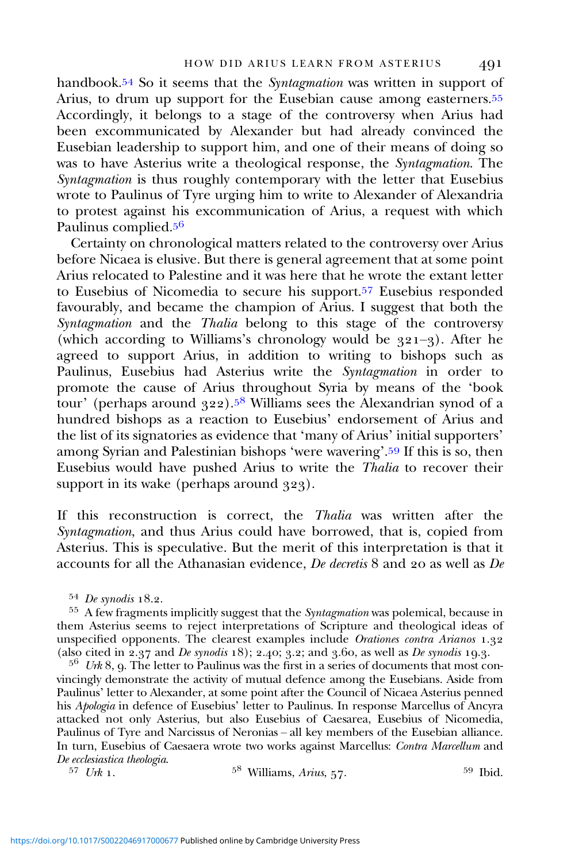handbook.<sup>54</sup> So it seems that the Syntagmation was written in support of Arius, to drum up support for the Eusebian cause among easterners.<sup>55</sup> Accordingly, it belongs to a stage of the controversy when Arius had been excommunicated by Alexander but had already convinced the Eusebian leadership to support him, and one of their means of doing so was to have Asterius write a theological response, the Syntagmation. The Syntagmation is thus roughly contemporary with the letter that Eusebius wrote to Paulinus of Tyre urging him to write to Alexander of Alexandria to protest against his excommunication of Arius, a request with which Paulinus complied.<sup>56</sup>

Certainty on chronological matters related to the controversy over Arius before Nicaea is elusive. But there is general agreement that at some point Arius relocated to Palestine and it was here that he wrote the extant letter to Eusebius of Nicomedia to secure his support.<sup>57</sup> Eusebius responded favourably, and became the champion of Arius. I suggest that both the Syntagmation and the *Thalia* belong to this stage of the controversy (which according to Williams's chronology would be  $(321-3)$ ). After he agreed to support Arius, in addition to writing to bishops such as Paulinus, Eusebius had Asterius write the Syntagmation in order to promote the cause of Arius throughout Syria by means of the 'book tour' (perhaps around  $322$ ).<sup>58</sup> Williams sees the Alexandrian synod of a hundred bishops as a reaction to Eusebius' endorsement of Arius and the list of its signatories as evidence that 'many of Arius' initial supporters' among Syrian and Palestinian bishops 'were wavering'.<sup>59</sup> If this is so, then Eusebius would have pushed Arius to write the Thalia to recover their support in its wake (perhaps around  $323$ ).

If this reconstruction is correct, the Thalia was written after the Syntagmation, and thus Arius could have borrowed, that is, copied from Asterius. This is speculative. But the merit of this interpretation is that it accounts for all the Athanasian evidence, *De decretis*  $8$  and  $20$  as well as *De* 

 $5^6$  *Urk* 8, 9. The letter to Paulinus was the first in a series of documents that most convincingly demonstrate the activity of mutual defence among the Eusebians. Aside from Paulinus' letter to Alexander, at some point after the Council of Nicaea Asterius penned his Apologia in defence of Eusebius' letter to Paulinus. In response Marcellus of Ancyra attacked not only Asterius, but also Eusebius of Caesarea, Eusebius of Nicomedia, Paulinus of Tyre and Narcissus of Neronias – all key members of the Eusebian alliance. In turn, Eusebius of Caesaera wrote two works against Marcellus: Contra Marcellum and De ecclesiastica theologia.

 $U_{ik}$  1.  $U_{ik}$  1.  $U_{ik}$  1.  $U_{ik}$  58 Williams, Arius, 57.  $U_{ik}$  1.  $U_{ik}$  1.

<sup>&</sup>lt;sup>54</sup> De synodis 18.2.<br><sup>55</sup> A few fragments implicitly suggest that the *Syntagmation* was polemical, because in them Asterius seems to reject interpretations of Scripture and theological ideas of unspecified opponents. The clearest examples include *Orationes contra Arianos* 1.32 (also cited in 2.37 and *De synodis* 18); 2.40; 3.2; and 3.60, as well as *De synodis* 19.3.